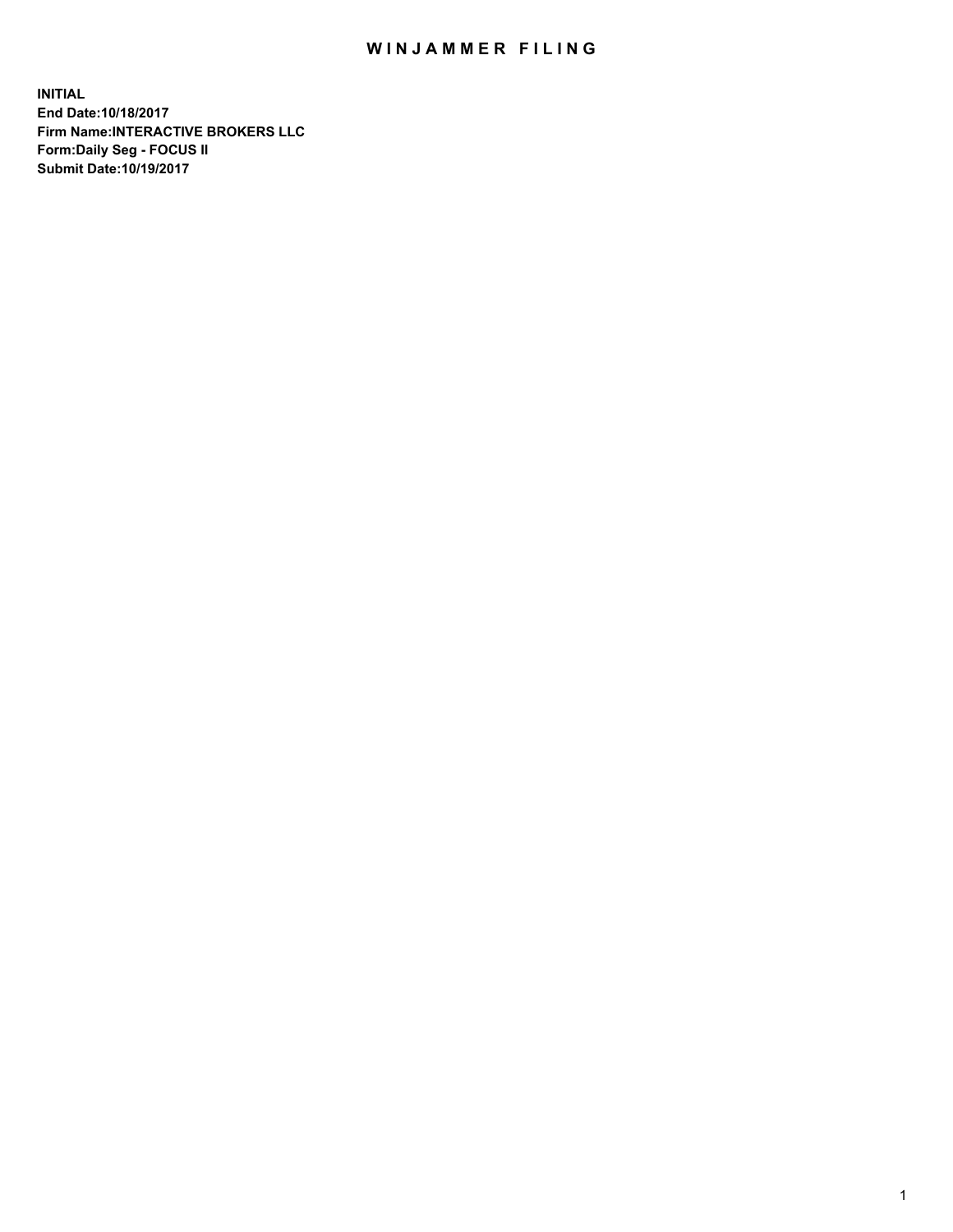## WIN JAMMER FILING

**INITIAL End Date:10/18/2017 Firm Name:INTERACTIVE BROKERS LLC Form:Daily Seg - FOCUS II Submit Date:10/19/2017**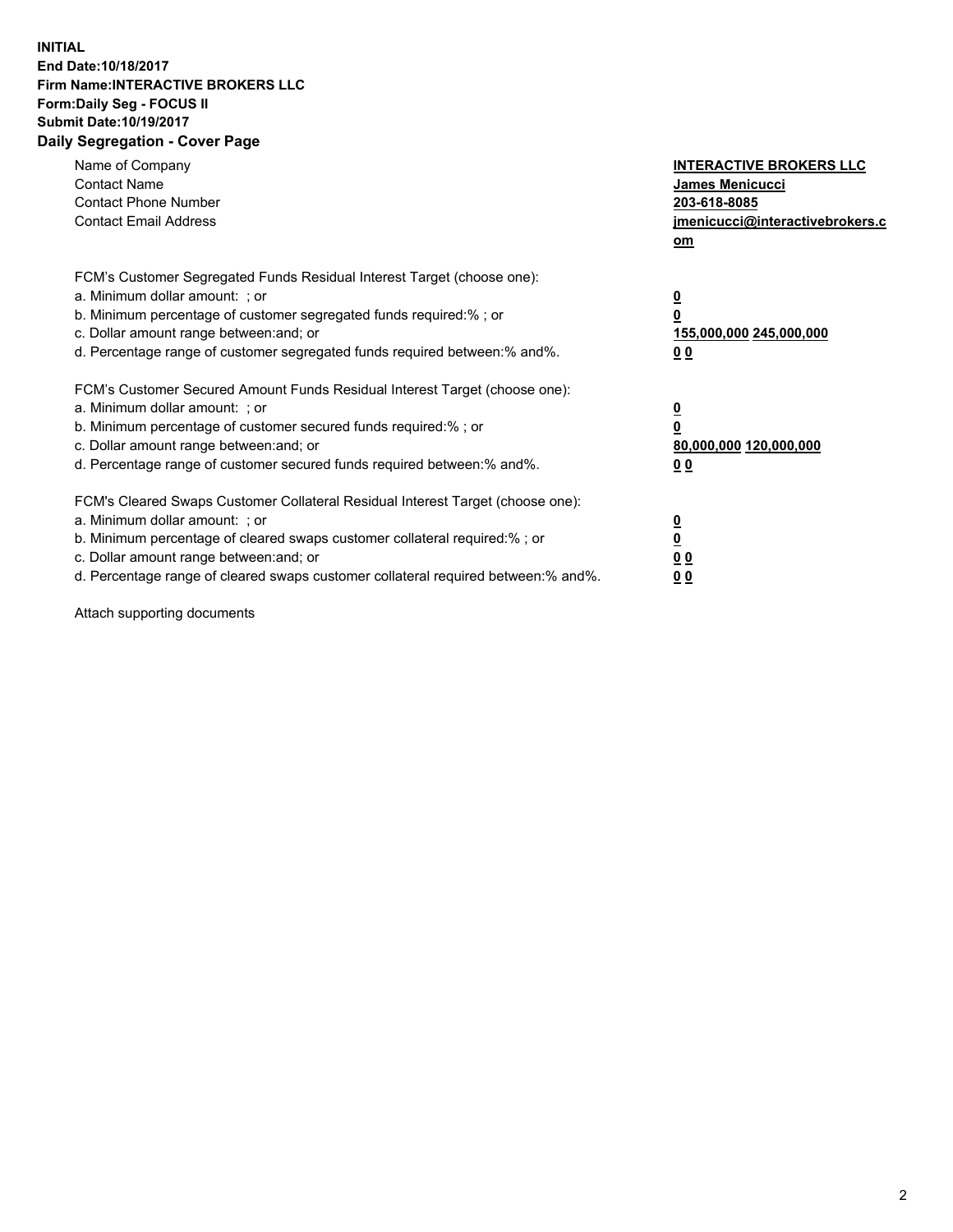## **INITIAL End Date:10/18/2017 Firm Name:INTERACTIVE BROKERS LLC Form:Daily Seg - FOCUS II Submit Date:10/19/2017 Daily Segregation - Cover Page**

| Name of Company<br><b>Contact Name</b><br><b>Contact Phone Number</b><br><b>Contact Email Address</b>                                                                                                                                                                                                                          | <b>INTERACTIVE BROKERS LLC</b><br><b>James Menicucci</b><br>203-618-8085<br><u>jmenicucci@interactivebrokers.c</u><br>om |
|--------------------------------------------------------------------------------------------------------------------------------------------------------------------------------------------------------------------------------------------------------------------------------------------------------------------------------|--------------------------------------------------------------------------------------------------------------------------|
| FCM's Customer Segregated Funds Residual Interest Target (choose one):<br>a. Minimum dollar amount: ; or<br>b. Minimum percentage of customer segregated funds required:%; or<br>c. Dollar amount range between: and; or<br>d. Percentage range of customer segregated funds required between:% and%.                          | <u>0</u><br>0<br><u>155,000,000 245,000,000</u><br>0 <sub>0</sub>                                                        |
| FCM's Customer Secured Amount Funds Residual Interest Target (choose one):<br>a. Minimum dollar amount: ; or<br>b. Minimum percentage of customer secured funds required:%; or<br>c. Dollar amount range between: and; or<br>d. Percentage range of customer secured funds required between:% and%.                            | $\overline{\mathbf{0}}$<br>0<br>80,000,000 120,000,000<br>0 <sub>0</sub>                                                 |
| FCM's Cleared Swaps Customer Collateral Residual Interest Target (choose one):<br>a. Minimum dollar amount: ; or<br>b. Minimum percentage of cleared swaps customer collateral required:% ; or<br>c. Dollar amount range between: and; or<br>d. Percentage range of cleared swaps customer collateral required between:% and%. | $\underline{\mathbf{0}}$<br>$\overline{\mathbf{0}}$<br>0 <sub>0</sub><br><u>00</u>                                       |

Attach supporting documents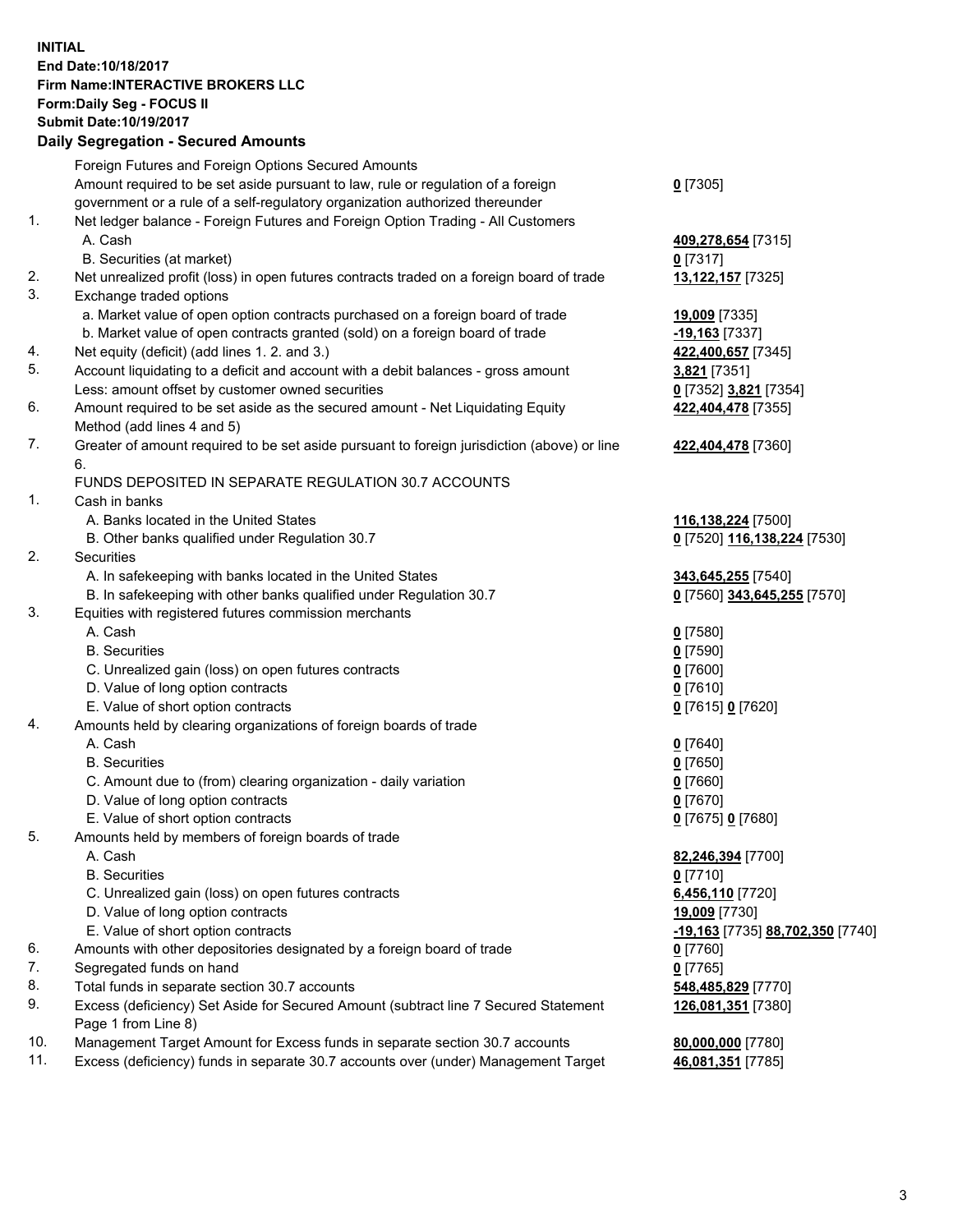## **INITIAL End Date:10/18/2017 Firm Name:INTERACTIVE BROKERS LLC Form:Daily Seg - FOCUS II Submit Date:10/19/2017**<br>**Daily Segregation - Secured Amounts Daily Segregation - Secured**

|     | Daily Segregation - Secured Amounts                                                         |                                  |
|-----|---------------------------------------------------------------------------------------------|----------------------------------|
|     | Foreign Futures and Foreign Options Secured Amounts                                         |                                  |
|     | Amount required to be set aside pursuant to law, rule or regulation of a foreign            | $0$ [7305]                       |
|     | government or a rule of a self-regulatory organization authorized thereunder                |                                  |
| 1.  | Net ledger balance - Foreign Futures and Foreign Option Trading - All Customers             |                                  |
|     |                                                                                             |                                  |
|     | A. Cash                                                                                     | 409,278,654 [7315]               |
|     | B. Securities (at market)                                                                   | 0[7317]                          |
| 2.  | Net unrealized profit (loss) in open futures contracts traded on a foreign board of trade   | 13,122,157 [7325]                |
| 3.  | Exchange traded options                                                                     |                                  |
|     | a. Market value of open option contracts purchased on a foreign board of trade              | 19,009 [7335]                    |
|     | b. Market value of open contracts granted (sold) on a foreign board of trade                | $-19,163$ [7337]                 |
| 4.  | Net equity (deficit) (add lines 1.2. and 3.)                                                | 422,400,657 [7345]               |
| 5.  | Account liquidating to a deficit and account with a debit balances - gross amount           | 3,821 [7351]                     |
|     | Less: amount offset by customer owned securities                                            | 0 [7352] 3,821 [7354]            |
| 6.  | Amount required to be set aside as the secured amount - Net Liquidating Equity              | 422,404,478 [7355]               |
|     | Method (add lines 4 and 5)                                                                  |                                  |
| 7.  | Greater of amount required to be set aside pursuant to foreign jurisdiction (above) or line | 422,404,478 [7360]               |
|     | 6.                                                                                          |                                  |
|     |                                                                                             |                                  |
|     | FUNDS DEPOSITED IN SEPARATE REGULATION 30.7 ACCOUNTS                                        |                                  |
| 1.  | Cash in banks                                                                               |                                  |
|     | A. Banks located in the United States                                                       | 116,138,224 [7500]               |
|     | B. Other banks qualified under Regulation 30.7                                              | 0 [7520] 116,138,224 [7530]      |
| 2.  | Securities                                                                                  |                                  |
|     | A. In safekeeping with banks located in the United States                                   | 343,645,255 [7540]               |
|     | B. In safekeeping with other banks qualified under Regulation 30.7                          | 0 [7560] 343,645,255 [7570]      |
| 3.  | Equities with registered futures commission merchants                                       |                                  |
|     | A. Cash                                                                                     | $0$ [7580]                       |
|     | <b>B.</b> Securities                                                                        | $0$ [7590]                       |
|     | C. Unrealized gain (loss) on open futures contracts                                         | $0$ [7600]                       |
|     | D. Value of long option contracts                                                           | $0$ [7610]                       |
|     | E. Value of short option contracts                                                          | 0 [7615] 0 [7620]                |
| 4.  | Amounts held by clearing organizations of foreign boards of trade                           |                                  |
|     | A. Cash                                                                                     | $0$ [7640]                       |
|     | <b>B.</b> Securities                                                                        | $0$ [7650]                       |
|     | C. Amount due to (from) clearing organization - daily variation                             | $0$ [7660]                       |
|     |                                                                                             |                                  |
|     | D. Value of long option contracts                                                           | $0$ [7670]                       |
|     | E. Value of short option contracts                                                          | 0 [7675] 0 [7680]                |
| 5.  | Amounts held by members of foreign boards of trade                                          |                                  |
|     | A. Cash                                                                                     | 82,246,394 [7700]                |
|     | <b>B.</b> Securities                                                                        | $0$ [7710]                       |
|     | C. Unrealized gain (loss) on open futures contracts                                         | 6,456,110 [7720]                 |
|     | D. Value of long option contracts                                                           | 19,009 [7730]                    |
|     | E. Value of short option contracts                                                          | -19,163 [7735] 88,702,350 [7740] |
| 6.  | Amounts with other depositories designated by a foreign board of trade                      | 0 [7760]                         |
| 7.  | Segregated funds on hand                                                                    | $0$ [7765]                       |
| 8.  | Total funds in separate section 30.7 accounts                                               | 548,485,829 [7770]               |
| 9.  | Excess (deficiency) Set Aside for Secured Amount (subtract line 7 Secured Statement         | 126,081,351 [7380]               |
|     | Page 1 from Line 8)                                                                         |                                  |
| 10. | Management Target Amount for Excess funds in separate section 30.7 accounts                 | 80,000,000 [7780]                |
| 11. | Excess (deficiency) funds in separate 30.7 accounts over (under) Management Target          | 46,081,351 [7785]                |
|     |                                                                                             |                                  |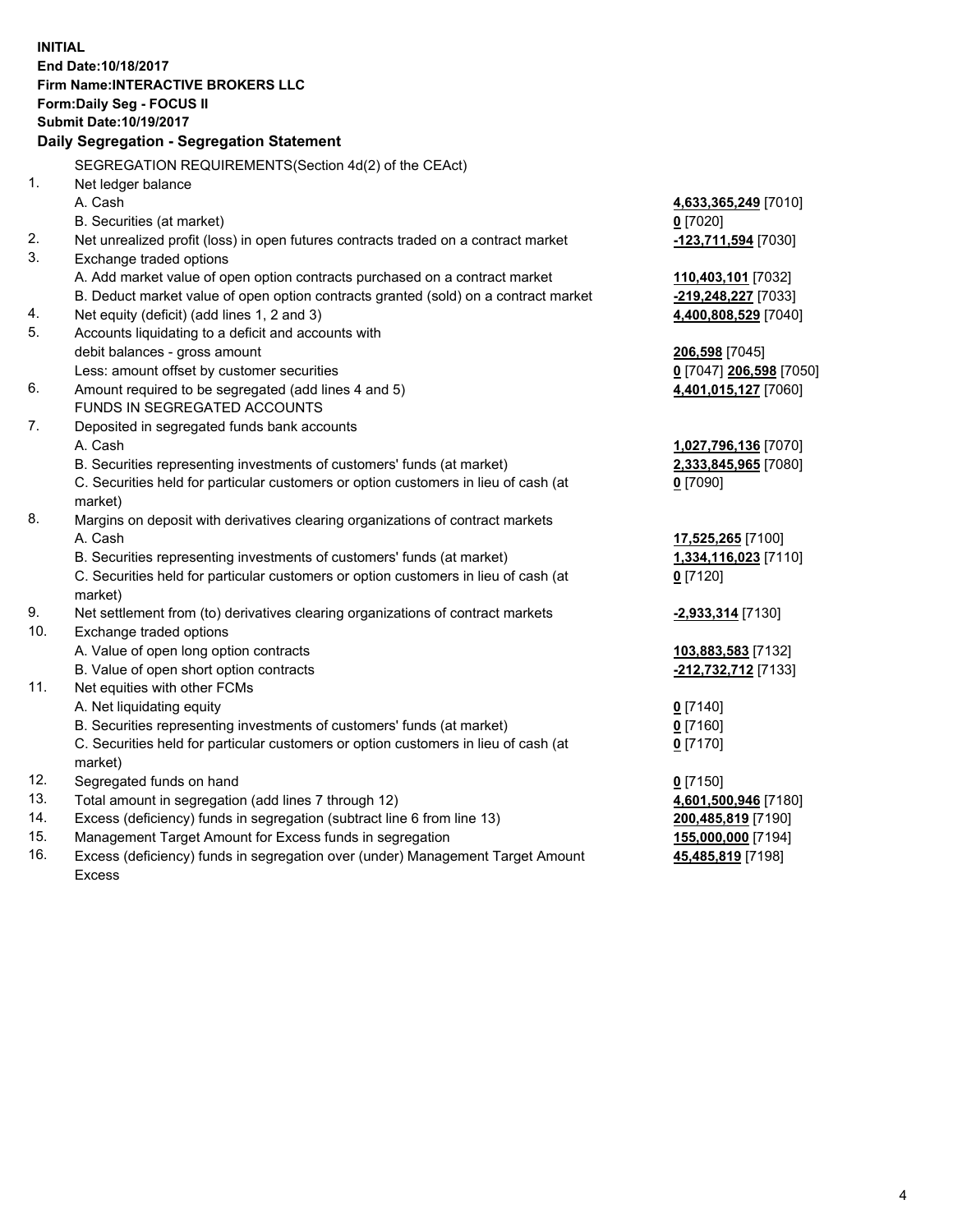**INITIAL End Date:10/18/2017 Firm Name:INTERACTIVE BROKERS LLC Form:Daily Seg - FOCUS II Submit Date:10/19/2017 Daily Segregation - Segregation Statement** SEGREGATION REQUIREMENTS(Section 4d(2) of the CEAct) 1. Net ledger balance A. Cash **4,633,365,249** [7010] B. Securities (at market) **0** [7020] 2. Net unrealized profit (loss) in open futures contracts traded on a contract market **-123,711,594** [7030] 3. Exchange traded options A. Add market value of open option contracts purchased on a contract market **110,403,101** [7032] B. Deduct market value of open option contracts granted (sold) on a contract market **-219,248,227** [7033] 4. Net equity (deficit) (add lines 1, 2 and 3) **4,400,808,529** [7040] 5. Accounts liquidating to a deficit and accounts with debit balances - gross amount **206,598** [7045] Less: amount offset by customer securities **0** [7047] **206,598** [7050] 6. Amount required to be segregated (add lines 4 and 5) **4,401,015,127** [7060] FUNDS IN SEGREGATED ACCOUNTS 7. Deposited in segregated funds bank accounts A. Cash **1,027,796,136** [7070] B. Securities representing investments of customers' funds (at market) **2,333,845,965** [7080] C. Securities held for particular customers or option customers in lieu of cash (at market) **0** [7090] 8. Margins on deposit with derivatives clearing organizations of contract markets A. Cash **17,525,265** [7100] B. Securities representing investments of customers' funds (at market) **1,334,116,023** [7110] C. Securities held for particular customers or option customers in lieu of cash (at market) **0** [7120] 9. Net settlement from (to) derivatives clearing organizations of contract markets **-2,933,314** [7130] 10. Exchange traded options A. Value of open long option contracts **103,883,583** [7132] B. Value of open short option contracts **-212,732,712** [7133] 11. Net equities with other FCMs A. Net liquidating equity **0** [7140] B. Securities representing investments of customers' funds (at market) **0** [7160] C. Securities held for particular customers or option customers in lieu of cash (at market) **0** [7170] 12. Segregated funds on hand **0** [7150] 13. Total amount in segregation (add lines 7 through 12) **4,601,500,946** [7180] 14. Excess (deficiency) funds in segregation (subtract line 6 from line 13) **200,485,819** [7190] 15. Management Target Amount for Excess funds in segregation **155,000,000** [7194] **45,485,819** [7198]

16. Excess (deficiency) funds in segregation over (under) Management Target Amount Excess

4